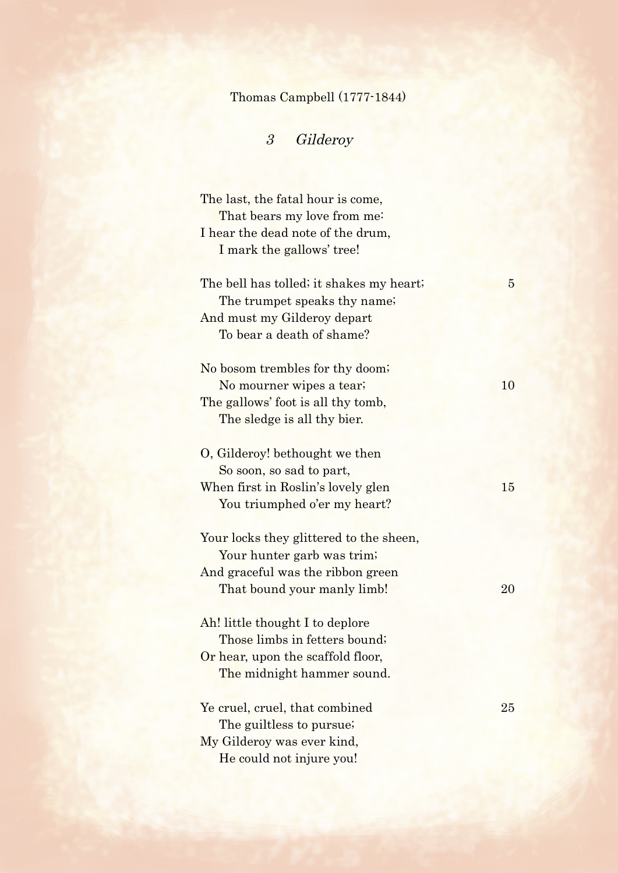## Thomas Campbell (1777-1844)

## 3 Gilderoy

| The last, the fatal hour is come,<br>That bears my love from me: |                |
|------------------------------------------------------------------|----------------|
| I hear the dead note of the drum,                                |                |
| I mark the gallows' tree!                                        |                |
|                                                                  |                |
| The bell has tolled; it shakes my heart;                         | $\overline{5}$ |
| The trumpet speaks thy name;                                     |                |
| And must my Gilderoy depart                                      |                |
| To bear a death of shame?                                        |                |
|                                                                  |                |
| No bosom trembles for thy doom;                                  |                |
| No mourner wipes a tear;                                         | 10             |
| The gallows' foot is all thy tomb,                               |                |
| The sledge is all thy bier.                                      |                |
|                                                                  |                |
| O, Gilderoy! bethought we then                                   |                |
| So soon, so sad to part,                                         |                |
| When first in Roslin's lovely glen                               | 15             |
| You triumphed o'er my heart?                                     |                |
|                                                                  |                |
| Your locks they glittered to the sheen,                          |                |
| Your hunter garb was trim;                                       |                |
| And graceful was the ribbon green                                |                |
| That bound your manly limb!                                      | 20             |
|                                                                  |                |
| Ah! little thought I to deplore                                  |                |
| Those limbs in fetters bound;                                    |                |
| Or hear, upon the scaffold floor,                                |                |
| The midnight hammer sound.                                       |                |
|                                                                  |                |
| Ye cruel, cruel, that combined                                   | 25             |
| The guiltless to pursue;                                         |                |
| My Gilderoy was ever kind,                                       |                |
| He could not injure you!                                         |                |